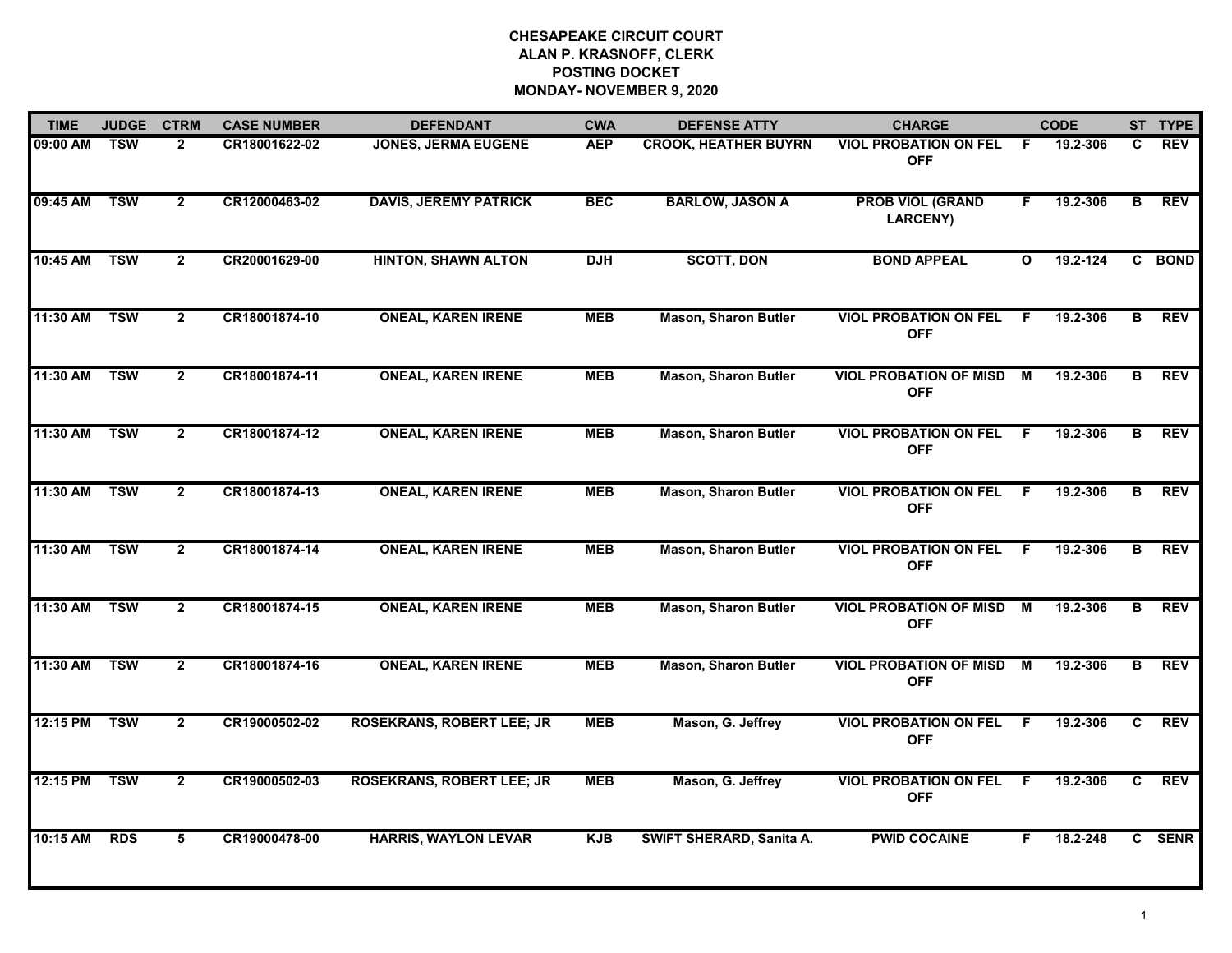| <b>TIME</b> | <b>JUDGE</b> | <b>CTRM</b>    | <b>CASE NUMBER</b> | <b>DEFENDANT</b>                 | <b>CWA</b> | <b>DEFENSE ATTY</b>         | <b>CHARGE</b>                               |              | <b>CODE</b>  |              | ST TYPE    |
|-------------|--------------|----------------|--------------------|----------------------------------|------------|-----------------------------|---------------------------------------------|--------------|--------------|--------------|------------|
| 09:00 AM    | <b>TSW</b>   | $\mathbf{2}$   | CR18001622-02      | <b>JONES, JERMA EUGENE</b>       | <b>AEP</b> | <b>CROOK, HEATHER BUYRN</b> | <b>VIOL PROBATION ON FEL</b><br><b>OFF</b>  | F.           | 19.2-306     | C            | <b>REV</b> |
| 09:45 AM    | <b>TSW</b>   | $\overline{2}$ | CR12000463-02      | <b>DAVIS, JEREMY PATRICK</b>     | <b>BEC</b> | <b>BARLOW, JASON A</b>      | <b>PROB VIOL (GRAND</b><br><b>LARCENY)</b>  | F.           | 19.2-306     | B            | <b>REV</b> |
| 10:45 AM    | <b>TSW</b>   | $\overline{2}$ | CR20001629-00      | <b>HINTON, SHAWN ALTON</b>       | <b>DJH</b> | <b>SCOTT, DON</b>           | <b>BOND APPEAL</b>                          | $\mathbf{o}$ | $19.2 - 124$ |              | C BOND     |
| 11:30 AM    | <b>TSW</b>   | $\overline{2}$ | CR18001874-10      | <b>ONEAL, KAREN IRENE</b>        | <b>MEB</b> | <b>Mason, Sharon Butler</b> | <b>VIOL PROBATION ON FEL</b><br><b>OFF</b>  | F.           | 19.2-306     | В            | <b>REV</b> |
| 11:30 AM    | <b>TSW</b>   | $\overline{2}$ | CR18001874-11      | <b>ONEAL, KAREN IRENE</b>        | <b>MEB</b> | <b>Mason, Sharon Butler</b> | <b>VIOL PROBATION OF MISD</b><br><b>OFF</b> | M            | 19.2-306     | B            | <b>REV</b> |
| 11:30 AM    | <b>TSW</b>   | $\mathbf{2}$   | CR18001874-12      | <b>ONEAL, KAREN IRENE</b>        | <b>MEB</b> | <b>Mason, Sharon Butler</b> | <b>VIOL PROBATION ON FEL</b><br><b>OFF</b>  | - F          | 19.2-306     | B            | <b>REV</b> |
| 11:30 AM    | <b>TSW</b>   | $\mathbf{2}$   | CR18001874-13      | <b>ONEAL, KAREN IRENE</b>        | <b>MEB</b> | <b>Mason, Sharon Butler</b> | <b>VIOL PROBATION ON FEL</b><br><b>OFF</b>  | F.           | 19.2-306     | B            | <b>REV</b> |
| 11:30 AM    | <b>TSW</b>   | $\overline{2}$ | CR18001874-14      | <b>ONEAL, KAREN IRENE</b>        | <b>MEB</b> | <b>Mason, Sharon Butler</b> | <b>VIOL PROBATION ON FEL</b><br><b>OFF</b>  | F.           | 19.2-306     | B            | <b>REV</b> |
| 11:30 AM    | <b>TSW</b>   | $\mathbf{2}$   | CR18001874-15      | <b>ONEAL, KAREN IRENE</b>        | <b>MEB</b> | <b>Mason, Sharon Butler</b> | <b>VIOL PROBATION OF MISD</b><br><b>OFF</b> | M            | 19.2-306     | в            | <b>REV</b> |
| 11:30 AM    | <b>TSW</b>   | $\overline{2}$ | CR18001874-16      | <b>ONEAL, KAREN IRENE</b>        | <b>MEB</b> | <b>Mason, Sharon Butler</b> | <b>VIOL PROBATION OF MISD</b><br><b>OFF</b> | М            | 19.2-306     | в            | <b>REV</b> |
| 12:15 PM    | <b>TSW</b>   | $\mathbf{2}$   | CR19000502-02      | <b>ROSEKRANS, ROBERT LEE; JR</b> | <b>MEB</b> | Mason, G. Jeffrey           | <b>VIOL PROBATION ON FEL</b><br><b>OFF</b>  | F.           | 19.2-306     | C.           | <b>REV</b> |
| 12:15 PM    | <b>TSW</b>   | $\overline{2}$ | CR19000502-03      | <b>ROSEKRANS, ROBERT LEE; JR</b> | <b>MEB</b> | Mason, G. Jeffrey           | <b>VIOL PROBATION ON FEL</b><br><b>OFF</b>  | F.           | 19.2-306     | $\mathbf{C}$ | <b>REV</b> |
| 10:15 AM    | <b>RDS</b>   | 5              | CR19000478-00      | <b>HARRIS, WAYLON LEVAR</b>      | <b>KJB</b> | SWIFT SHERARD, Sanita A.    | <b>PWID COCAINE</b>                         | F            | 18.2-248     |              | C SENR     |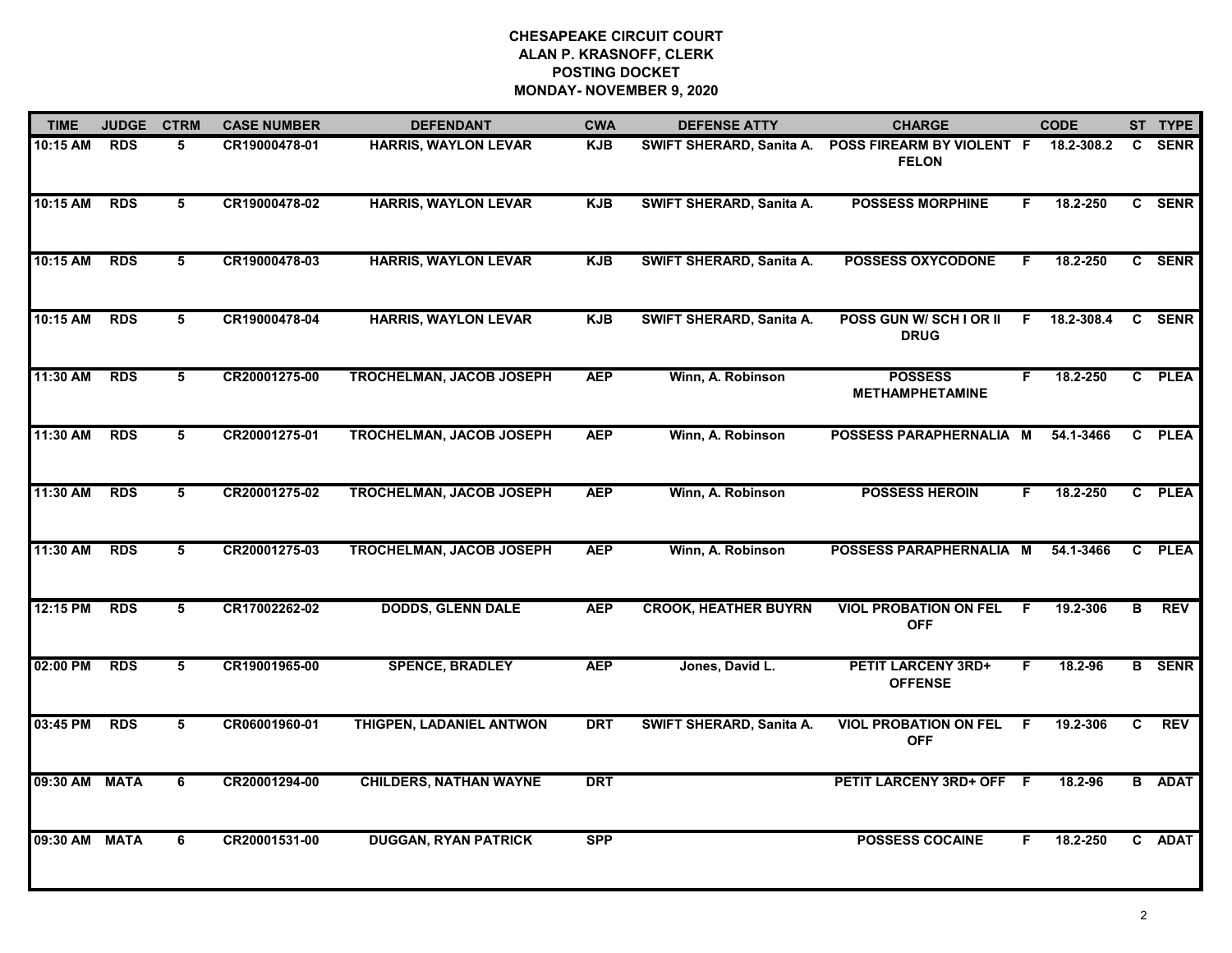| <b>TIME</b> | <b>JUDGE</b> | <b>CTRM</b> | <b>CASE NUMBER</b> | <b>DEFENDANT</b>                | <b>CWA</b> | <b>DEFENSE ATTY</b>             | <b>CHARGE</b>                               |    | <b>CODE</b> |    | ST TYPE       |
|-------------|--------------|-------------|--------------------|---------------------------------|------------|---------------------------------|---------------------------------------------|----|-------------|----|---------------|
| 10:15 AM    | <b>RDS</b>   | 5           | CR19000478-01      | <b>HARRIS, WAYLON LEVAR</b>     | <b>KJB</b> | SWIFT SHERARD, Sanita A.        | POSS FIREARM BY VIOLENT F<br><b>FELON</b>   |    | 18.2-308.2  | C. | <b>SENR</b>   |
| 10:15 AM    | <b>RDS</b>   | 5           | CR19000478-02      | <b>HARRIS, WAYLON LEVAR</b>     | <b>KJB</b> | SWIFT SHERARD, Sanita A.        | <b>POSSESS MORPHINE</b>                     | F. | 18.2-250    |    | C SENR        |
| 10:15 AM    | <b>RDS</b>   | 5           | CR19000478-03      | <b>HARRIS, WAYLON LEVAR</b>     | <b>KJB</b> | SWIFT SHERARD, Sanita A.        | <b>POSSESS OXYCODONE</b>                    | F. | 18.2-250    |    | C SENR        |
| 10:15 AM    | <b>RDS</b>   | 5           | CR19000478-04      | <b>HARRIS, WAYLON LEVAR</b>     | <b>KJB</b> | <b>SWIFT SHERARD, Sanita A.</b> | POSS GUN W/ SCH I OR II<br><b>DRUG</b>      | F. | 18.2-308.4  | C. | <b>SENR</b>   |
| 11:30 AM    | <b>RDS</b>   | 5           | CR20001275-00      | <b>TROCHELMAN, JACOB JOSEPH</b> | <b>AEP</b> | Winn, A. Robinson               | <b>POSSESS</b><br><b>METHAMPHETAMINE</b>    | F. | 18.2-250    | C  | <b>PLEA</b>   |
| 11:30 AM    | <b>RDS</b>   | 5           | CR20001275-01      | <b>TROCHELMAN, JACOB JOSEPH</b> | <b>AEP</b> | Winn, A. Robinson               | POSSESS PARAPHERNALIA M                     |    | 54.1-3466   | C. | <b>PLEA</b>   |
| 11:30 AM    | <b>RDS</b>   | 5           | CR20001275-02      | <b>TROCHELMAN, JACOB JOSEPH</b> | <b>AEP</b> | Winn, A. Robinson               | <b>POSSESS HEROIN</b>                       | F. | 18.2-250    | C  | <b>PLEA</b>   |
| 11:30 AM    | <b>RDS</b>   | 5           | CR20001275-03      | <b>TROCHELMAN, JACOB JOSEPH</b> | <b>AEP</b> | Winn, A. Robinson               | POSSESS PARAPHERNALIA M                     |    | 54.1-3466   | C  | <b>PLEA</b>   |
| 12:15 PM    | <b>RDS</b>   | 5           | CR17002262-02      | <b>DODDS, GLENN DALE</b>        | <b>AEP</b> | <b>CROOK, HEATHER BUYRN</b>     | <b>VIOL PROBATION ON FEL</b><br><b>OFF</b>  | F. | 19.2-306    | В  | <b>REV</b>    |
| 02:00 PM    | <b>RDS</b>   | 5           | CR19001965-00      | <b>SPENCE, BRADLEY</b>          | <b>AEP</b> | Jones, David L.                 | <b>PETIT LARCENY 3RD+</b><br><b>OFFENSE</b> | F. | 18.2-96     |    | <b>B</b> SENR |
| 03:45 PM    | <b>RDS</b>   | 5           | CR06001960-01      | THIGPEN, LADANIEL ANTWON        | <b>DRT</b> | <b>SWIFT SHERARD, Sanita A.</b> | <b>VIOL PROBATION ON FEL</b><br><b>OFF</b>  | -F | 19.2-306    | C. | <b>REV</b>    |
| 09:30 AM    | <b>MATA</b>  | 6           | CR20001294-00      | <b>CHILDERS, NATHAN WAYNE</b>   | <b>DRT</b> |                                 | PETIT LARCENY 3RD+ OFF F                    |    | 18.2-96     |    | <b>B</b> ADAT |
| 09:30 AM    | <b>MATA</b>  | 6           | CR20001531-00      | <b>DUGGAN, RYAN PATRICK</b>     | <b>SPP</b> |                                 | <b>POSSESS COCAINE</b>                      | F  | 18.2-250    |    | C ADAT        |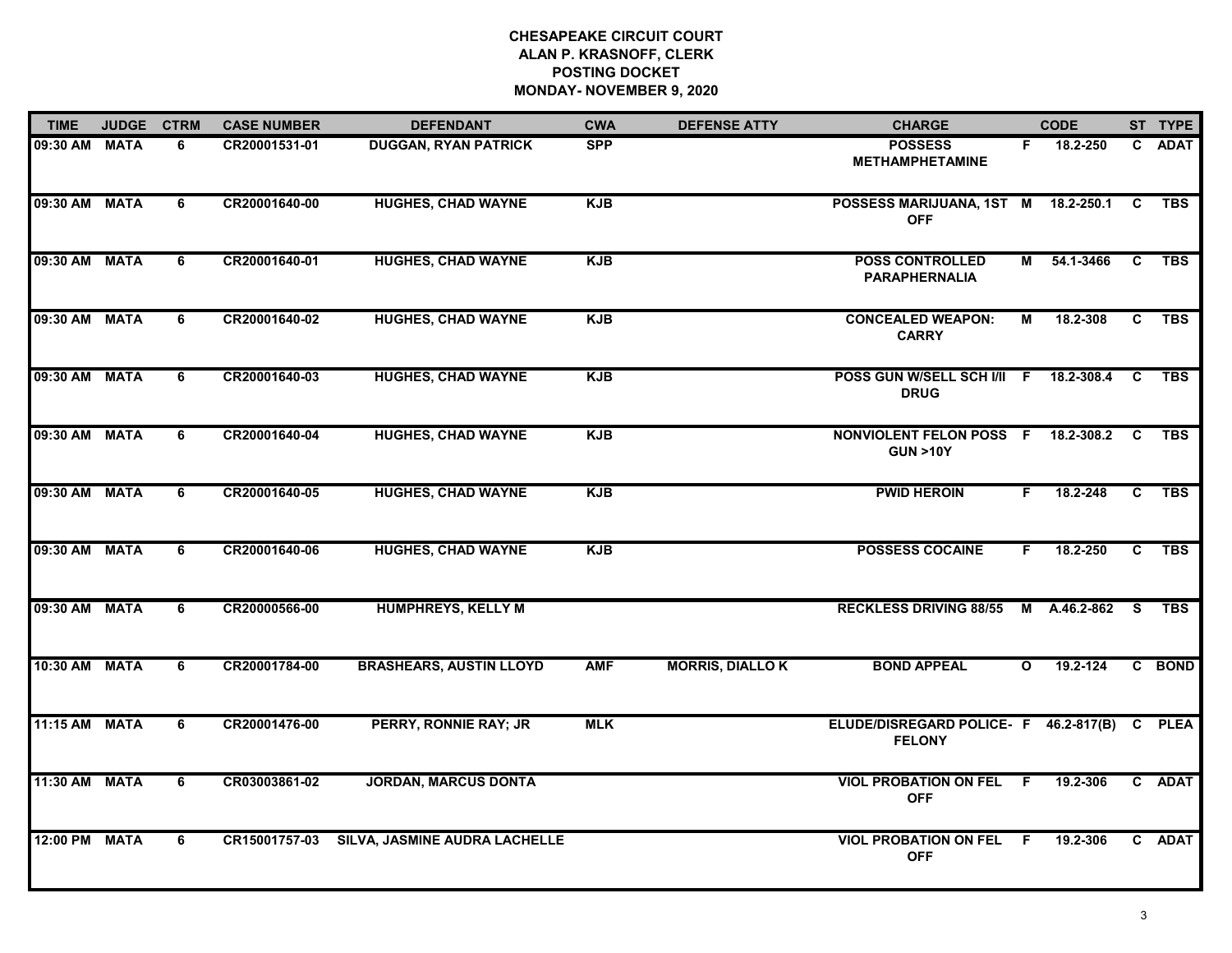| <b>TIME</b>   | <b>JUDGE</b> | <b>CTRM</b> | <b>CASE NUMBER</b> | <b>DEFENDANT</b>               | <b>CWA</b> | <b>DEFENSE ATTY</b>    | <b>CHARGE</b>                                                 |              | <b>CODE</b>  |                | ST TYPE    |
|---------------|--------------|-------------|--------------------|--------------------------------|------------|------------------------|---------------------------------------------------------------|--------------|--------------|----------------|------------|
| 09:30 AM MATA |              | 6           | CR20001531-01      | <b>DUGGAN, RYAN PATRICK</b>    | <b>SPP</b> |                        | <b>POSSESS</b><br><b>METHAMPHETAMINE</b>                      | F.           | 18.2-250     |                | C ADAT     |
| 09:30 AM MATA |              | 6           | CR20001640-00      | <b>HUGHES, CHAD WAYNE</b>      | <b>KJB</b> |                        | POSSESS MARIJUANA, 1ST M 18.2-250.1<br><b>OFF</b>             |              |              | C              | <b>TBS</b> |
| 09:30 AM MATA |              | 6           | CR20001640-01      | <b>HUGHES, CHAD WAYNE</b>      | <b>KJB</b> |                        | <b>POSS CONTROLLED</b><br><b>PARAPHERNALIA</b>                | M            | 54.1-3466    | $\mathbf{C}$   | <b>TBS</b> |
| 09:30 AM MATA |              | 6           | CR20001640-02      | <b>HUGHES, CHAD WAYNE</b>      | <b>KJB</b> |                        | <b>CONCEALED WEAPON:</b><br><b>CARRY</b>                      | М            | 18.2-308     | C              | <b>TBS</b> |
| 09:30 AM MATA |              | 6           | CR20001640-03      | <b>HUGHES, CHAD WAYNE</b>      | <b>KJB</b> |                        | POSS GUN W/SELL SCH I/II F 18.2-308.4<br><b>DRUG</b>          |              |              | C              | <b>TBS</b> |
| 09:30 AM MATA |              | 6           | CR20001640-04      | <b>HUGHES, CHAD WAYNE</b>      | <b>KJB</b> |                        | NONVIOLENT FELON POSS F 18.2-308.2<br><b>GUN &gt;10Y</b>      |              |              | <b>C</b>       | <b>TBS</b> |
| 09:30 AM MATA |              | 6           | CR20001640-05      | <b>HUGHES, CHAD WAYNE</b>      | <b>KJB</b> |                        | <b>PWID HEROIN</b>                                            | F.           | 18.2-248     | $\overline{c}$ | <b>TBS</b> |
| 09:30 AM MATA |              | 6           | CR20001640-06      | <b>HUGHES, CHAD WAYNE</b>      | <b>KJB</b> |                        | <b>POSSESS COCAINE</b>                                        | F.           | 18.2-250     | C              | <b>TBS</b> |
| 09:30 AM MATA |              | 6           | CR20000566-00      | <b>HUMPHREYS, KELLY M</b>      |            |                        | <b>RECKLESS DRIVING 88/55</b>                                 |              | M A.46.2-862 | <b>S</b>       | <b>TBS</b> |
| 10:30 AM MATA |              | 6           | CR20001784-00      | <b>BRASHEARS, AUSTIN LLOYD</b> | <b>AMF</b> | <b>MORRIS, DIALLOK</b> | <b>BOND APPEAL</b>                                            | $\mathbf{o}$ | 19.2-124     |                | C BOND     |
| 11:15 AM MATA |              | 6           | CR20001476-00      | <b>PERRY, RONNIE RAY; JR</b>   | <b>MLK</b> |                        | ELUDE/DISREGARD POLICE- F 46.2-817(B) C PLEA<br><b>FELONY</b> |              |              |                |            |
| 11:30 AM MATA |              | 6           | CR03003861-02      | <b>JORDAN, MARCUS DONTA</b>    |            |                        | <b>VIOL PROBATION ON FEL</b><br><b>OFF</b>                    | -F           | 19.2-306     |                | C ADAT     |
| 12:00 PM MATA |              | 6           | CR15001757-03      | SILVA, JASMINE AUDRA LACHELLE  |            |                        | <b>VIOL PROBATION ON FEL</b><br><b>OFF</b>                    | -F           | 19.2-306     |                | C ADAT     |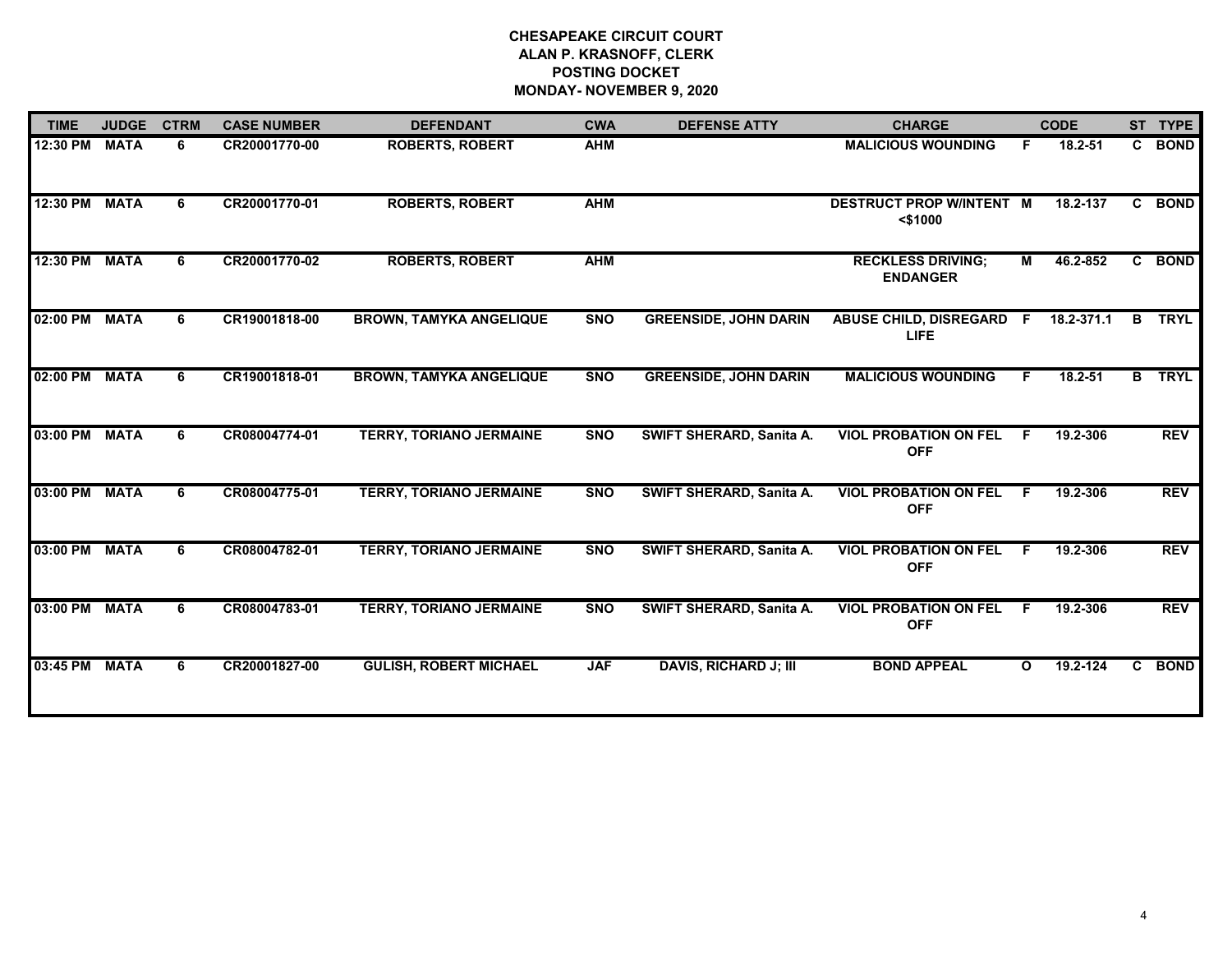| <b>TIME</b> | <b>JUDGE</b> | <b>CTRM</b> | <b>CASE NUMBER</b> | <b>DEFENDANT</b>               | <b>CWA</b> | <b>DEFENSE ATTY</b>             | <b>CHARGE</b>                                      |    | <b>CODE</b> |    | ST TYPE     |
|-------------|--------------|-------------|--------------------|--------------------------------|------------|---------------------------------|----------------------------------------------------|----|-------------|----|-------------|
| 12:30 PM    | <b>MATA</b>  | 6           | CR20001770-00      | <b>ROBERTS, ROBERT</b>         | <b>AHM</b> |                                 | <b>MALICIOUS WOUNDING</b>                          | F  | 18.2-51     | C. | <b>BOND</b> |
| 12:30 PM    | <b>MATA</b>  | 6           | CR20001770-01      | <b>ROBERTS, ROBERT</b>         | <b>AHM</b> |                                 | <b>DESTRUCT PROP W/INTENT M</b><br>$<$ \$1000      |    | 18.2-137    | C. | <b>BOND</b> |
| 12:30 PM    | <b>MATA</b>  | 6           | CR20001770-02      | <b>ROBERTS, ROBERT</b>         | <b>AHM</b> |                                 | <b>RECKLESS DRIVING;</b><br><b>ENDANGER</b>        | M  | 46.2-852    | C  | <b>BOND</b> |
| 02:00 PM    | <b>MATA</b>  | 6           | CR19001818-00      | <b>BROWN, TAMYKA ANGELIQUE</b> | <b>SNO</b> | <b>GREENSIDE, JOHN DARIN</b>    | ABUSE CHILD, DISREGARD F 18.2-371.1<br><b>LIFE</b> |    |             | B  | <b>TRYL</b> |
| 02:00 PM    | <b>MATA</b>  | 6           | CR19001818-01      | <b>BROWN, TAMYKA ANGELIQUE</b> | <b>SNO</b> | <b>GREENSIDE, JOHN DARIN</b>    | <b>MALICIOUS WOUNDING</b>                          | F. | $18.2 - 51$ | B  | <b>TRYL</b> |
| 03:00 PM    | <b>MATA</b>  | 6           | CR08004774-01      | <b>TERRY, TORIANO JERMAINE</b> | SNO        | SWIFT SHERARD, Sanita A.        | <b>VIOL PROBATION ON FEL</b><br><b>OFF</b>         | -F | 19.2-306    |    | <b>REV</b>  |
| 03:00 PM    | <b>MATA</b>  | 6           | CR08004775-01      | <b>TERRY, TORIANO JERMAINE</b> | <b>SNO</b> | <b>SWIFT SHERARD, Sanita A.</b> | <b>VIOL PROBATION ON FEL</b><br><b>OFF</b>         | F  | 19.2-306    |    | <b>REV</b>  |
| 03:00 PM    | <b>MATA</b>  | 6.          | CR08004782-01      | <b>TERRY, TORIANO JERMAINE</b> | <b>SNO</b> | SWIFT SHERARD, Sanita A.        | <b>VIOL PROBATION ON FEL</b><br><b>OFF</b>         | F. | 19.2-306    |    | <b>REV</b>  |
| 03:00 PM    | <b>MATA</b>  | 6           | CR08004783-01      | <b>TERRY, TORIANO JERMAINE</b> | <b>SNO</b> | SWIFT SHERARD, Sanita A.        | <b>VIOL PROBATION ON FEL</b><br><b>OFF</b>         | F  | 19.2-306    |    | <b>REV</b>  |
| 03:45 PM    | <b>MATA</b>  | 6           | CR20001827-00      | <b>GULISH, ROBERT MICHAEL</b>  | <b>JAF</b> | <b>DAVIS, RICHARD J; III</b>    | <b>BOND APPEAL</b>                                 | O  | 19.2-124    | C. | <b>BOND</b> |